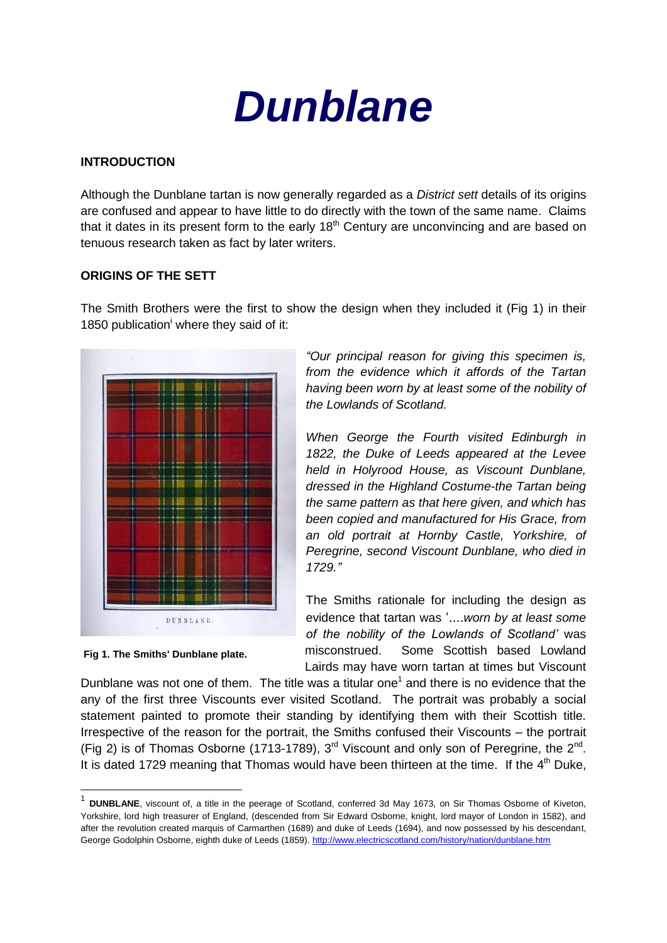

#### **INTRODUCTION**

Although the Dunblane tartan is now generally regarded as a *District sett* details of its origins are confused and appear to have little to do directly with the town of the same name. Claims that it dates in its present form to the early  $18<sup>th</sup>$  Century are unconvincing and are based on tenuous research taken as fact by later writers.

## **ORIGINS OF THE SETT**

The Smith Brothers were the first to show the design when they included it (Fig 1) in their 1850 publication<sup>i</sup> where they said of it:



**Fig 1. The Smiths' Dunblane plate.** 

-

*"Our principal reason for giving this specimen is, from the evidence which it affords of the Tartan having been worn by at least some of the nobility of the Lowlands of Scotland.*

*When George the Fourth visited Edinburgh in 1822, the Duke of Leeds appeared at the Levee held in Holyrood House, as Viscount Dunblane, dressed in the Highland Costume-the Tartan being the same pattern as that here given, and which has been copied and manufactured for His Grace, from an old portrait at Hornby Castle, Yorkshire, of Peregrine, second Viscount Dunblane, who died in 1729."*

The Smiths rationale for including the design as evidence that tartan was '....*worn by at least some of the nobility of the Lowlands of Scotland'* was misconstrued. Some Scottish based Lowland Lairds may have worn tartan at times but Viscount

Dunblane was not one of them. The title was a titular one<sup>1</sup> and there is no evidence that the any of the first three Viscounts ever visited Scotland. The portrait was probably a social statement painted to promote their standing by identifying them with their Scottish title. Irrespective of the reason for the portrait, the Smiths confused their Viscounts – the portrait (Fig 2) is of Thomas Osborne (1713-1789),  $3<sup>rd</sup>$  Viscount and only son of Peregrine, the  $2<sup>nd</sup>$ . It is dated 1729 meaning that Thomas would have been thirteen at the time. If the  $4<sup>th</sup>$  Duke,

<sup>&</sup>lt;sup>1</sup> DUNBLANE, viscount of, a title in the peerage of Scotland, conferred 3d May 1673, on Sir Thomas Osborne of Kiveton, Yorkshire, lord high treasurer of England, (descended from Sir Edward Osborne, knight, lord mayor of London in 1582), and after the revolution created marquis of Carmarthen (1689) and duke of Leeds (1694), and now possessed by his descendant, George Godolphin Osborne, eighth duke of Leeds (1859). <http://www.electricscotland.com/history/nation/dunblane.htm>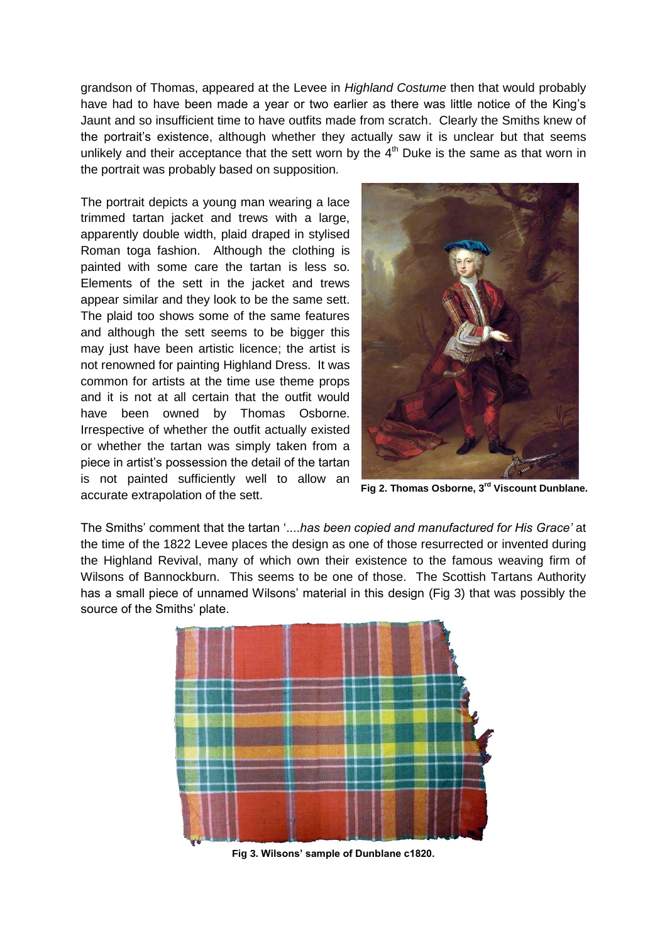grandson of Thomas, appeared at the Levee in *Highland Costume* then that would probably have had to have been made a year or two earlier as there was little notice of the King's Jaunt and so insufficient time to have outfits made from scratch. Clearly the Smiths knew of the portrait's existence, although whether they actually saw it is unclear but that seems unlikely and their acceptance that the sett worn by the  $4<sup>th</sup>$  Duke is the same as that worn in the portrait was probably based on supposition.

The portrait depicts a young man wearing a lace trimmed tartan jacket and trews with a large, apparently double width, plaid draped in stylised Roman toga fashion. Although the clothing is painted with some care the tartan is less so. Elements of the sett in the jacket and trews appear similar and they look to be the same sett. The plaid too shows some of the same features and although the sett seems to be bigger this may just have been artistic licence; the artist is not renowned for painting Highland Dress. It was common for artists at the time use theme props and it is not at all certain that the outfit would have been owned by Thomas Osborne. Irrespective of whether the outfit actually existed or whether the tartan was simply taken from a piece in artist's possession the detail of the tartan is not painted sufficiently well to allow an accurate extrapolation of the sett.



**Fig 2. Thomas Osborne, 3rd Viscount Dunblane.**

The Smiths' comment that the tartan '....*has been copied and manufactured for His Grace'* at the time of the 1822 Levee places the design as one of those resurrected or invented during the Highland Revival, many of which own their existence to the famous weaving firm of Wilsons of Bannockburn. This seems to be one of those. The Scottish Tartans Authority has a small piece of unnamed Wilsons' material in this design (Fig 3) that was possibly the source of the Smiths' plate.



**Fig 3. Wilsons' sample of Dunblane c1820.**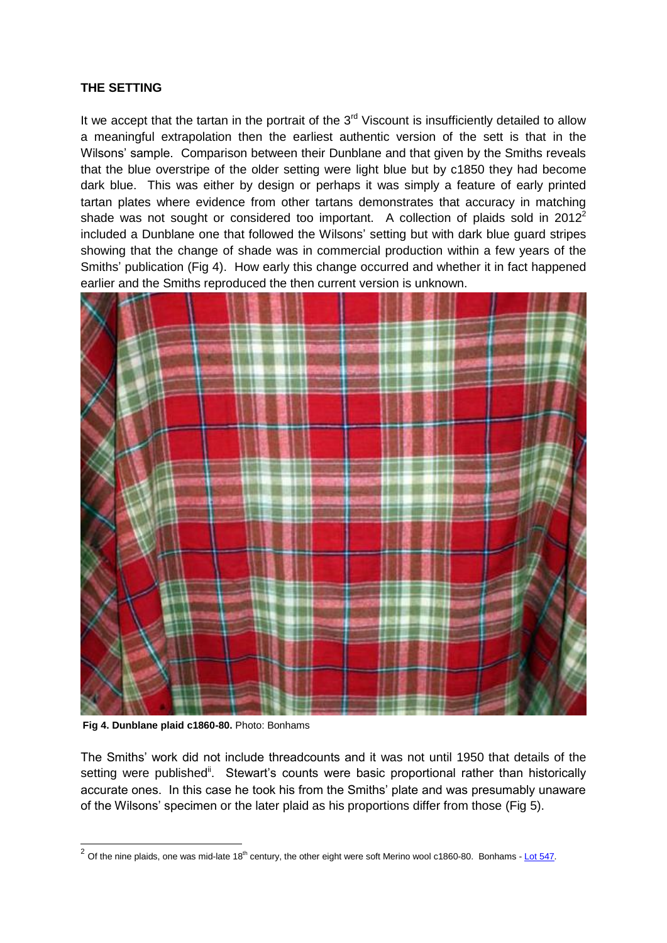# **THE SETTING**

It we accept that the tartan in the portrait of the  $3<sup>rd</sup>$  Viscount is insufficiently detailed to allow a meaningful extrapolation then the earliest authentic version of the sett is that in the Wilsons' sample. Comparison between their Dunblane and that given by the Smiths reveals that the blue overstripe of the older setting were light blue but by c1850 they had become dark blue. This was either by design or perhaps it was simply a feature of early printed tartan plates where evidence from other tartans demonstrates that accuracy in matching shade was not sought or considered too important. A collection of plaids sold in  $2012^2$ included a Dunblane one that followed the Wilsons' setting but with dark blue guard stripes showing that the change of shade was in commercial production within a few years of the Smiths' publication (Fig 4). How early this change occurred and whether it in fact happened earlier and the Smiths reproduced the then current version is unknown.



**Fig 4. Dunblane plaid c1860-80.** Photo: Bonhams

The Smiths' work did not include threadcounts and it was not until 1950 that details of the setting were published<sup>ii</sup>. Stewart's counts were basic proportional rather than historically accurate ones. In this case he took his from the Smiths' plate and was presumably unaware of the Wilsons' specimen or the later plaid as his proportions differ from those (Fig 5).

 2 Of the nine plaids, one was mid-late 18th century, the other eight were soft Merino wool c1860-80. Bonhams - Lot [547.](http://www.bonhams.com/auctions/19868/lot/547/)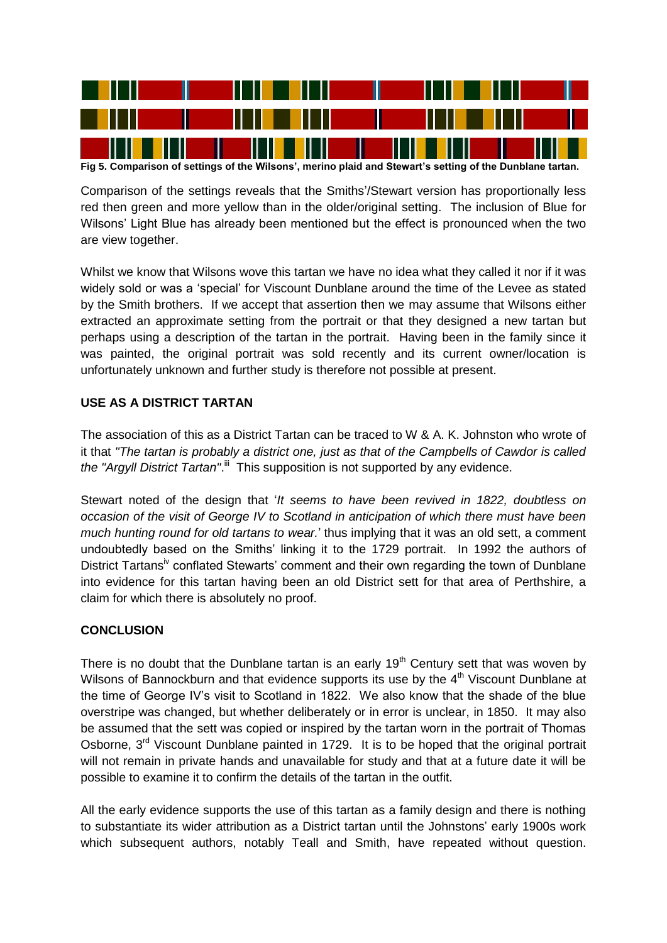

**Fig 5. Comparison of settings of the Wilsons', merino plaid and Stewart's setting of the Dunblane tartan.**

Comparison of the settings reveals that the Smiths'/Stewart version has proportionally less red then green and more yellow than in the older/original setting. The inclusion of Blue for Wilsons' Light Blue has already been mentioned but the effect is pronounced when the two are view together.

Whilst we know that Wilsons wove this tartan we have no idea what they called it nor if it was widely sold or was a 'special' for Viscount Dunblane around the time of the Levee as stated by the Smith brothers. If we accept that assertion then we may assume that Wilsons either extracted an approximate setting from the portrait or that they designed a new tartan but perhaps using a description of the tartan in the portrait. Having been in the family since it was painted, the original portrait was sold recently and its current owner/location is unfortunately unknown and further study is therefore not possible at present.

## **USE AS A DISTRICT TARTAN**

The association of this as a District Tartan can be traced to W & A. K. Johnston who wrote of it that *"The tartan is probably a district one, just as that of the Campbells of Cawdor is called*  the "Argyll District Tartan".<sup>ii</sup> This supposition is not supported by any evidence.

Stewart noted of the design that '*It seems to have been revived in 1822, doubtless on occasion of the visit of George IV to Scotland in anticipation of which there must have been much hunting round for old tartans to wear.*' thus implying that it was an old sett, a comment undoubtedly based on the Smiths' linking it to the 1729 portrait. In 1992 the authors of District Tartans<sup>iv</sup> conflated Stewarts' comment and their own regarding the town of Dunblane into evidence for this tartan having been an old District sett for that area of Perthshire, a claim for which there is absolutely no proof.

# **CONCLUSION**

There is no doubt that the Dunblane tartan is an early  $19<sup>th</sup>$  Century sett that was woven by Wilsons of Bannockburn and that evidence supports its use by the  $4<sup>th</sup>$  Viscount Dunblane at the time of George IV's visit to Scotland in 1822. We also know that the shade of the blue overstripe was changed, but whether deliberately or in error is unclear, in 1850. It may also be assumed that the sett was copied or inspired by the tartan worn in the portrait of Thomas Osborne, 3<sup>rd</sup> Viscount Dunblane painted in 1729. It is to be hoped that the original portrait will not remain in private hands and unavailable for study and that at a future date it will be possible to examine it to confirm the details of the tartan in the outfit.

All the early evidence supports the use of this tartan as a family design and there is nothing to substantiate its wider attribution as a District tartan until the Johnstons' early 1900s work which subsequent authors, notably Teall and Smith, have repeated without question.